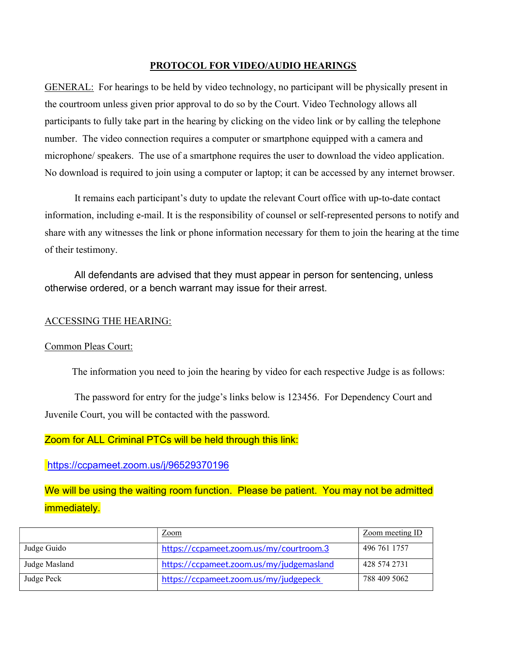### PROTOCOL FOR VIDEO/AUDIO HEARINGS

GENERAL: For hearings to be held by video technology, no participant will be physically present in the courtroom unless given prior approval to do so by the Court. Video Technology allows all participants to fully take part in the hearing by clicking on the video link or by calling the telephone number. The video connection requires a computer or smartphone equipped with a camera and microphone/ speakers. The use of a smartphone requires the user to download the video application. No download is required to join using a computer or laptop; it can be accessed by any internet browser.

 It remains each participant's duty to update the relevant Court office with up-to-date contact information, including e-mail. It is the responsibility of counsel or self-represented persons to notify and share with any witnesses the link or phone information necessary for them to join the hearing at the time of their testimony.

All defendants are advised that they must appear in person for sentencing, unless otherwise ordered, or a bench warrant may issue for their arrest.

#### ACCESSING THE HEARING:

#### Common Pleas Court:

The information you need to join the hearing by video for each respective Judge is as follows:

The password for entry for the judge's links below is 123456. For Dependency Court and Juvenile Court, you will be contacted with the password.

## Zoom for ALL Criminal PTCs will be held through this link:

https://ccpameet.zoom.us/j/96529370196

We will be using the waiting room function. Please be patient. You may not be admitted immediately.

|               | $\angle$ com                             | Zoom meeting ID |
|---------------|------------------------------------------|-----------------|
| Judge Guido   | https://ccpameet.zoom.us/my/courtroom.3  | 496 761 1757    |
| Judge Masland | https://ccpameet.zoom.us/my/judgemasland | 428 574 2731    |
| Judge Peck    | https://ccpameet.zoom.us/my/judgepeck    | 788 409 5062    |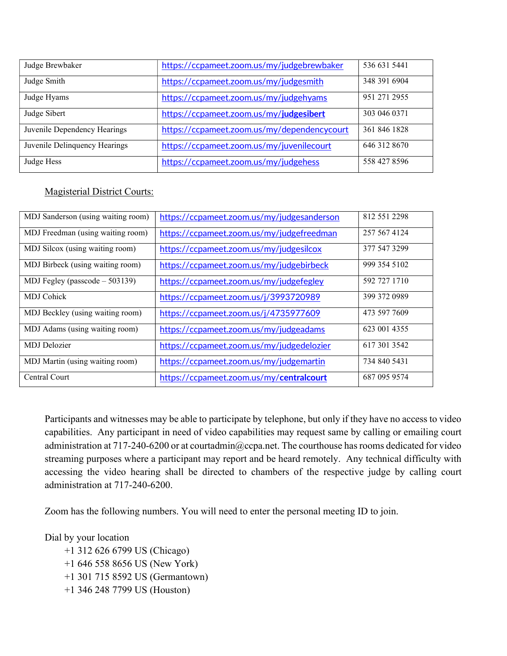| Judge Brewbaker               | https://ccpameet.zoom.us/my/judgebrewbaker  | 536 631 5441 |
|-------------------------------|---------------------------------------------|--------------|
| Judge Smith                   | https://ccpameet.zoom.us/my/judgesmith      | 348 391 6904 |
| Judge Hyams                   | https://ccpameet.zoom.us/my/judgehyams      | 951 271 2955 |
| Judge Sibert                  | https://ccpameet.zoom.us/my/judgesibert     | 303 046 0371 |
| Juvenile Dependency Hearings  | https://ccpameet.zoom.us/my/dependencycourt | 361 846 1828 |
| Juvenile Delinquency Hearings | https://ccpameet.zoom.us/my/juvenilecourt   | 646 312 8670 |
| Judge Hess                    | https://ccpameet.zoom.us/my/judgehess       | 558 427 8596 |

# Magisterial District Courts:

| MDJ Sanderson (using waiting room) | https://ccpameet.zoom.us/my/judgesanderson | 812 551 2298 |
|------------------------------------|--------------------------------------------|--------------|
| MDJ Freedman (using waiting room)  | https://ccpameet.zoom.us/my/judgefreedman  | 257 567 4124 |
| MDJ Silcox (using waiting room)    | https://ccpameet.zoom.us/my/judgesilcox    | 377 547 3299 |
| MDJ Birbeck (using waiting room)   | https://ccpameet.zoom.us/my/judgebirbeck   | 999 354 5102 |
| MDJ Fegley (passcode $-503139$ )   | https://ccpameet.zoom.us/my/judgefegley    | 592 727 1710 |
| <b>MDJ</b> Cohick                  | https://ccpameet.zoom.us/j/3993720989      | 399 372 0989 |
| MDJ Beckley (using waiting room)   | https://ccpameet.zoom.us/j/4735977609      | 473 597 7609 |
| MDJ Adams (using waiting room)     | https://ccpameet.zoom.us/my/judgeadams     | 623 001 4355 |
| <b>MDJ</b> Delozier                | https://ccpameet.zoom.us/my/judgedelozier  | 617 301 3542 |
| MDJ Martin (using waiting room)    | https://ccpameet.zoom.us/my/judgemartin    | 734 840 5431 |
| Central Court                      | https://ccpameet.zoom.us/my/centralcourt   | 687 095 9574 |

Participants and witnesses may be able to participate by telephone, but only if they have no access to video capabilities. Any participant in need of video capabilities may request same by calling or emailing court administration at 717-240-6200 or at courtadmin@ccpa.net. The courthouse has rooms dedicated for video streaming purposes where a participant may report and be heard remotely. Any technical difficulty with accessing the video hearing shall be directed to chambers of the respective judge by calling court administration at 717-240-6200.

Zoom has the following numbers. You will need to enter the personal meeting ID to join.

Dial by your location

 +1 312 626 6799 US (Chicago) +1 646 558 8656 US (New York) +1 301 715 8592 US (Germantown) +1 346 248 7799 US (Houston)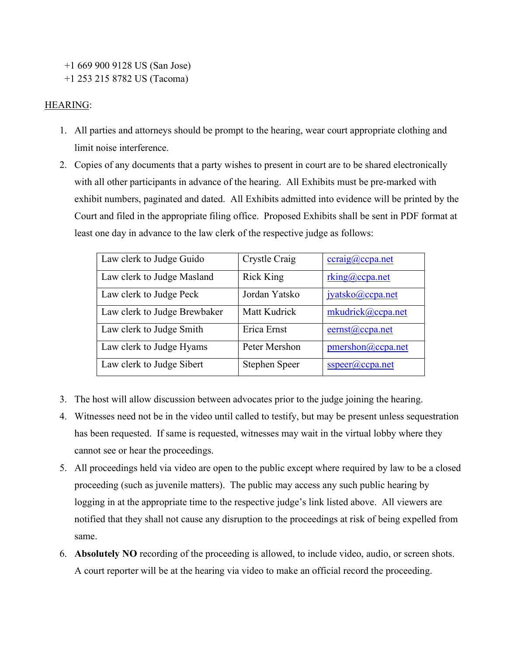+1 669 900 9128 US (San Jose) +1 253 215 8782 US (Tacoma)

### HEARING:

- 1. All parties and attorneys should be prompt to the hearing, wear court appropriate clothing and limit noise interference.
- 2. Copies of any documents that a party wishes to present in court are to be shared electronically with all other participants in advance of the hearing. All Exhibits must be pre-marked with exhibit numbers, paginated and dated. All Exhibits admitted into evidence will be printed by the Court and filed in the appropriate filing office. Proposed Exhibits shall be sent in PDF format at least one day in advance to the law clerk of the respective judge as follows:

| Law clerk to Judge Guido     | Crystle Craig        | ccraig@ccpa.net     |
|------------------------------|----------------------|---------------------|
| Law clerk to Judge Masland   | <b>Rick King</b>     | rking@ccpa.net      |
| Law clerk to Judge Peck      | Jordan Yatsko        | jyatsko@ccpa.net    |
| Law clerk to Judge Brewbaker | Matt Kudrick         | mkudrick@ccpa.net   |
| Law clerk to Judge Smith     | Erica Ernst          | $e$ ernst@ccpa.net  |
| Law clerk to Judge Hyams     | Peter Mershon        | pmershon@ccpa.net   |
| Law clerk to Judge Sibert    | <b>Stephen Speer</b> | $sspec(a) ccpa.net$ |

- 3. The host will allow discussion between advocates prior to the judge joining the hearing.
- 4. Witnesses need not be in the video until called to testify, but may be present unless sequestration has been requested. If same is requested, witnesses may wait in the virtual lobby where they cannot see or hear the proceedings.
- 5. All proceedings held via video are open to the public except where required by law to be a closed proceeding (such as juvenile matters). The public may access any such public hearing by logging in at the appropriate time to the respective judge's link listed above. All viewers are notified that they shall not cause any disruption to the proceedings at risk of being expelled from same.
- 6. Absolutely NO recording of the proceeding is allowed, to include video, audio, or screen shots. A court reporter will be at the hearing via video to make an official record the proceeding.